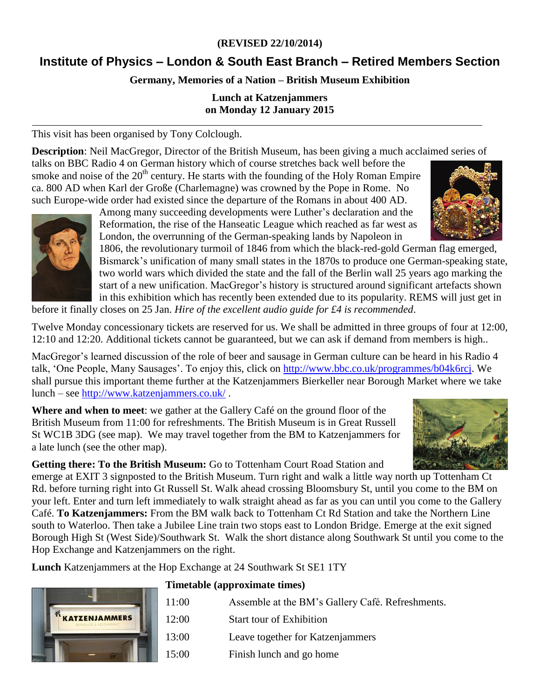# **(REVISED 22/10/2014)**

# **Institute of Physics – London & South East Branch – Retired Members Section**

# **Germany, Memories of a Nation – British Museum Exhibition**

#### **Lunch at Katzenjammers on Monday 12 January 2015**

This visit has been organised by Tony Colclough.

**Description**: Neil MacGregor, Director of the British Museum, has been giving a much acclaimed series of

talks on BBC Radio 4 on German history which of course stretches back well before the smoke and noise of the  $20<sup>th</sup>$  century. He starts with the founding of the Holy Roman Empire ca. 800 AD when Karl der Große (Charlemagne) was crowned by the Pope in Rome. No such Europe-wide order had existed since the departure of the Romans in about 400 AD.



Among many succeeding developments were Luther's declaration and the Reformation, the rise of the Hanseatic League which reached as far west as London, the overrunning of the German-speaking lands by Napoleon in

1806, the revolutionary turmoil of 1846 from which the black-red-gold German flag emerged, Bismarck's unification of many small states in the 1870s to produce one German-speaking state, two world wars which divided the state and the fall of the Berlin wall 25 years ago marking the start of a new unification. MacGregor's history is structured around significant artefacts shown in this exhibition which has recently been extended due to its popularity. REMS will just get in before it finally closes on 25 Jan. *Hire of the excellent audio guide for £4 is recommended*.

Twelve Monday concessionary tickets are reserved for us. We shall be admitted in three groups of four at 12:00,

12:10 and 12:20. Additional tickets cannot be guaranteed, but we can ask if demand from members is high..

MacGregor's learned discussion of the role of beer and sausage in German culture can be heard in his Radio 4 talk, 'One People, Many Sausages'. To enjoy this, click on [http://www.bbc.co.uk/programmes/b04k6rcj.](http://www.bbc.co.uk/programmes/b04k6rcj) We shall pursue this important theme further at the Katzenjammers Bierkeller near Borough Market where we take lunch – see<http://www.katzenjammers.co.uk/> .

**Where and when to meet**: we gather at the Gallery Café on the ground floor of the British Museum from 11:00 for refreshments. The British Museum is in Great Russell St WC1B 3DG (see map). We may travel together from the BM to Katzenjammers for a late lunch (see the other map).



emerge at EXIT 3 signposted to the British Museum. Turn right and walk a little way north up Tottenham Ct Rd. before turning right into Gt Russell St. Walk ahead crossing Bloomsbury St, until you come to the BM on your left. Enter and turn left immediately to walk straight ahead as far as you can until you come to the Gallery Café. **To Katzenjammers:** From the BM walk back to Tottenham Ct Rd Station and take the Northern Line south to Waterloo. Then take a Jubilee Line train two stops east to London Bridge. Emerge at the exit signed Borough High St (West Side)/Southwark St. Walk the short distance along Southwark St until you come to the Hop Exchange and Katzenjammers on the right.

**Lunch** Katzenjammers at the Hop Exchange at 24 Southwark St SE1 1TY



#### **Timetable (approximate times)**

| 11:00 | Assemble at the BM's Gallery Café. Refreshments. |
|-------|--------------------------------------------------|
| 12:00 | <b>Start tour of Exhibition</b>                  |
| 13:00 | Leave together for Katzenjammers                 |
| 15:00 | Finish lunch and go home                         |